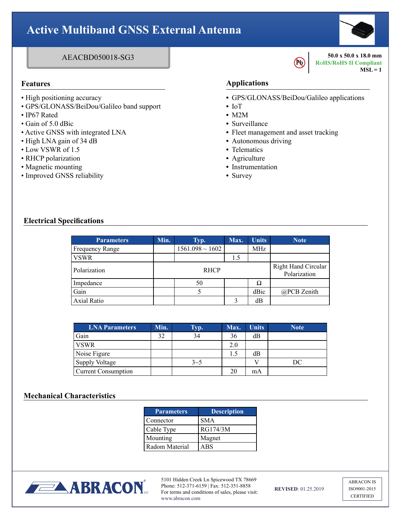# **Active Multiband GNSS External Antenna**

# AEACBD050018-SG3

- High positioning accuracy
- GPS/GLONASS/BeiDou/Galileo band support
- IP67 Rated
- Gain of 5.0 dBic
- Active GNSS with integrated LNA
- High LNA gain of 34 dB
- Low VSWR of 1.5
- RHCP polarization
- Magnetic mounting
- Improved GNSS reliability

## **Features Applications**

**•** GPS/GLONASS/BeiDou/Galileo applications

**Pb** 

- **•** IoT
- **•** M2M
- **•** Surveillance
- **•** Fleet management and asset tracking
- **•** Autonomous driving
- **•** Telematics
- **•** Agriculture
- **•** Instrumentation
- **•** Survey

### **Electrical Specifications**

| <b>Parameters</b>  | Min.        | Typ.                 | Max. | <b>Units</b>                               | <b>Note</b> |
|--------------------|-------------|----------------------|------|--------------------------------------------|-------------|
| Frequency Range    |             | $1561.098 \sim 1602$ |      | MHz                                        |             |
| <b>VSWR</b>        |             |                      | 1.5  |                                            |             |
| Polarization       | <b>RHCP</b> |                      |      | <b>Right Hand Circular</b><br>Polarization |             |
| Impedance          |             | 50                   |      | Ω                                          |             |
| Gain               |             |                      |      | dBic                                       | @PCB Zenith |
| <b>Axial Ratio</b> |             |                      | 2    | dВ                                         |             |
|                    |             |                      |      |                                            |             |

| <b>LNA Parameters</b>      | Min. | Typ.    | Max. | <b>Units</b> | <b>Note</b> |
|----------------------------|------|---------|------|--------------|-------------|
| Gain                       | 32   | 34      | 36   | dB           |             |
| <b>VSWR</b>                |      |         | 2.0  |              |             |
| Noise Figure               |      |         | 1.5  | dB           |             |
| Supply Voltage             |      | $3 - 5$ |      |              | DС          |
| <b>Current Consumption</b> |      |         | 20   | mA           |             |

#### **Mechanical Characteristics**

| <b>Parameters</b> | <b>Description</b> |
|-------------------|--------------------|
| Connector         | <b>SMA</b>         |
| Cable Type        | RG174/3M           |
| Mounting          | Magnet             |
| Radom Material    | ABS                |



5101 Hidden Creek Ln Spicewood TX 78669 Phone: 512-371-6159 | Fax: 512-351-8858 For terms and conditions of sales, please visit: www.abracon.com

**REVISED**: 01.25.2019

ABRACON IS ISO9001-2015 CERTIFIED



**50.0 x 50.0 x 18.0 mm RoHS/RoHS II Compliant**

 $MSL = 1$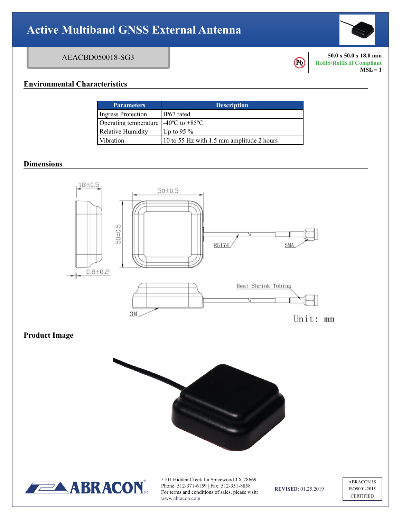# **Active Multiband GNSS External Antenna**

# AEACBD050018-SG3

**Pb** 

**50.0 x 50.0 x 18.0 mm RoHS/RoHS II Compliant**  $MSL = 1$ 

## **Environmental Characteristics**

| <b>Parameters</b>         | <b>Description</b>                        |
|---------------------------|-------------------------------------------|
| <b>Ingress Protection</b> | IP67 rated                                |
| Operating temperature     | $-40^{\circ}$ C to $+85^{\circ}$ C        |
| <b>Relative Humidity</b>  | Up to 95 $\%$                             |
| Vibration                 | 10 to 55 Hz with 1.5 mm amplitude 2 hours |

### **Dimensions**



# **Product Image**





5101 Hidden Creek Ln Spicewood TX 78669 Phone: 512-371-6159 | Fax: 512-351-8858 For terms and conditions of sales, please visit: www.abracon.com

**REVISED**: 01.25.2019

ABRACON IS ISO9001-2015 **CERTIFIED**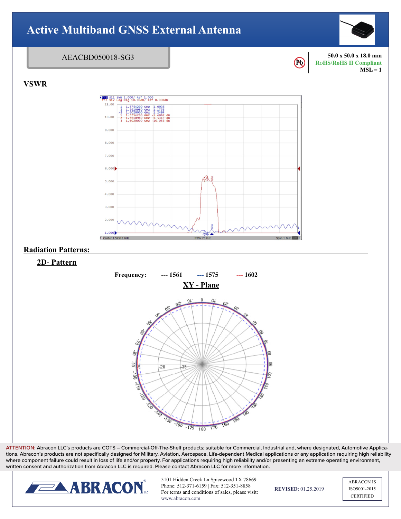

**ATTENTION:** Abracon LLC's products are COTS – Commercial-Off-The-Shelf products; suitable for Commercial, Industrial and, where designated, Automotive Applications. Abracon's products are not specifically designed for Military, Aviation, Aerospace, Life-dependent Medical applications or any application requiring high reliability where component failure could result in loss of life and/or property. For applications requiring high reliability and/or presenting an extreme operating environment, written consent and authorization from Abracon LLC is required. Please contact Abracon LLC for more information.



5101 Hidden Creek Ln Spicewood TX 78669 Phone: 512-371-6159 | Fax: 512-351-8858 For terms and conditions of sales, please visit: www.abracon.com

**REVISED**: 01.25.2019

ABRACON IS ISO9001-2015 **CERTIFIED**